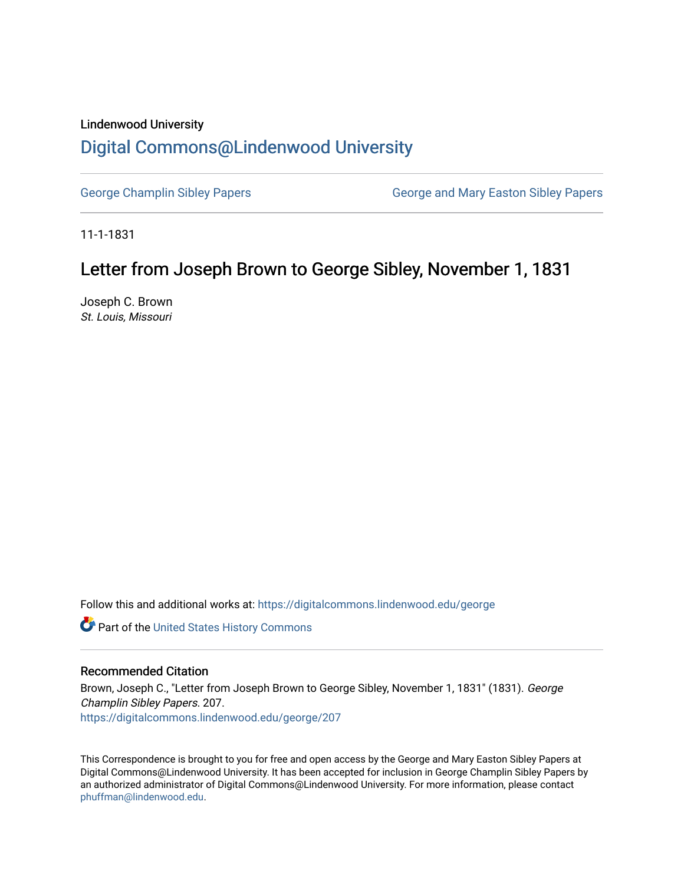## Lindenwood University [Digital Commons@Lindenwood University](https://digitalcommons.lindenwood.edu/)

[George Champlin Sibley Papers](https://digitalcommons.lindenwood.edu/george) George and Mary Easton Sibley Papers

11-1-1831

## Letter from Joseph Brown to George Sibley, November 1, 1831

Joseph C. Brown St. Louis, Missouri

Follow this and additional works at: [https://digitalcommons.lindenwood.edu/george](https://digitalcommons.lindenwood.edu/george?utm_source=digitalcommons.lindenwood.edu%2Fgeorge%2F207&utm_medium=PDF&utm_campaign=PDFCoverPages)

Part of the [United States History Commons](http://network.bepress.com/hgg/discipline/495?utm_source=digitalcommons.lindenwood.edu%2Fgeorge%2F207&utm_medium=PDF&utm_campaign=PDFCoverPages) 

## Recommended Citation

Brown, Joseph C., "Letter from Joseph Brown to George Sibley, November 1, 1831" (1831). George Champlin Sibley Papers. 207. [https://digitalcommons.lindenwood.edu/george/207](https://digitalcommons.lindenwood.edu/george/207?utm_source=digitalcommons.lindenwood.edu%2Fgeorge%2F207&utm_medium=PDF&utm_campaign=PDFCoverPages)

This Correspondence is brought to you for free and open access by the George and Mary Easton Sibley Papers at Digital Commons@Lindenwood University. It has been accepted for inclusion in George Champlin Sibley Papers by an authorized administrator of Digital Commons@Lindenwood University. For more information, please contact [phuffman@lindenwood.edu](mailto:phuffman@lindenwood.edu).